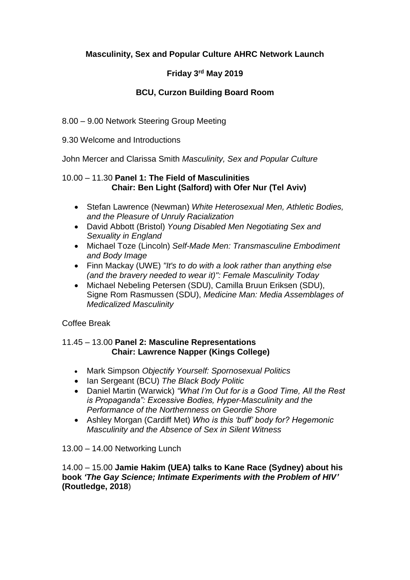# **Masculinity, Sex and Popular Culture AHRC Network Launch**

# **Friday 3rd May 2019**

## **BCU, Curzon Building Board Room**

8.00 – 9.00 Network Steering Group Meeting

### 9.30 Welcome and Introductions

John Mercer and Clarissa Smith *Masculinity, Sex and Popular Culture*

### 10.00 – 11.30 **Panel 1: The Field of Masculinities Chair: Ben Light (Salford) with Ofer Nur (Tel Aviv)**

- Stefan Lawrence (Newman) *White Heterosexual Men, Athletic Bodies, and the Pleasure of Unruly Racialization*
- David Abbott (Bristol) *Young Disabled Men Negotiating Sex and Sexuality in England*
- Michael Toze (Lincoln) *Self-Made Men: Transmasculine Embodiment and Body Image*
- Finn Mackay (UWE) *"It's to do with a look rather than anything else (and the bravery needed to wear it)": Female Masculinity Today*
- Michael Nebeling Petersen (SDU), Camilla Bruun Eriksen (SDU), Signe Rom Rasmussen (SDU), *Medicine Man: Media Assemblages of Medicalized Masculinity*

## Coffee Break

### 11.45 – 13.00 **Panel 2: Masculine Representations Chair: Lawrence Napper (Kings College)**

- Mark Simpson *Objectify Yourself: Spornosexual Politics*
- Ian Sergeant (BCU) *The Black Body Politic*
- Daniel Martin (Warwick) *"What I'm Out for is a Good Time, All the Rest is Propaganda": Excessive Bodies, Hyper-Masculinity and the Performance of the Northernness on Geordie Shore*
- Ashley Morgan (Cardiff Met) *Who is this 'buff' body for? Hegemonic Masculinity and the Absence of Sex in Silent Witness*

#### 13.00 – 14.00 Networking Lunch

14.00 – 15.00 **Jamie Hakim (UEA) talks to Kane Race (Sydney) about his book** *'The Gay Science; Intimate Experiments with the Problem of HIV'* **(Routledge, 2018**)